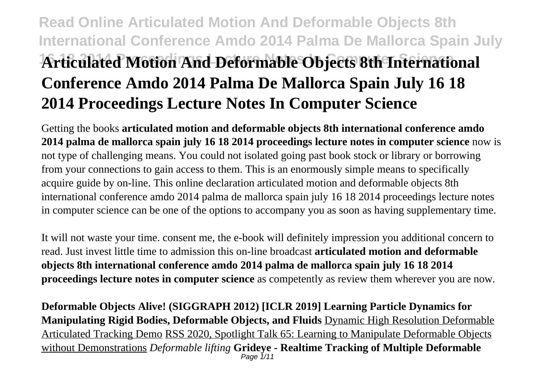# **Read Online Articulated Motion And Deformable Objects 8th International Conference Amdo 2014 Palma De Mallorca Spain July 16 18 2014 Proceedings Lecture Notes In Computer Science Articulated Motion And Deformable Objects 8th International Conference Amdo 2014 Palma De Mallorca Spain July 16 18 2014 Proceedings Lecture Notes In Computer Science**

Getting the books **articulated motion and deformable objects 8th international conference amdo 2014 palma de mallorca spain july 16 18 2014 proceedings lecture notes in computer science** now is not type of challenging means. You could not isolated going past book stock or library or borrowing from your connections to gain access to them. This is an enormously simple means to specifically acquire guide by on-line. This online declaration articulated motion and deformable objects 8th international conference amdo 2014 palma de mallorca spain july 16 18 2014 proceedings lecture notes in computer science can be one of the options to accompany you as soon as having supplementary time.

It will not waste your time. consent me, the e-book will definitely impression you additional concern to read. Just invest little time to admission this on-line broadcast **articulated motion and deformable objects 8th international conference amdo 2014 palma de mallorca spain july 16 18 2014 proceedings lecture notes in computer science** as competently as review them wherever you are now.

**Deformable Objects Alive! (SIGGRAPH 2012) [ICLR 2019] Learning Particle Dynamics for Manipulating Rigid Bodies, Deformable Objects, and Fluids** Dynamic High Resolution Deformable Articulated Tracking Demo RSS 2020, Spotlight Talk 65: Learning to Manipulate Deformable Objects without Demonstrations *Deformable lifting* **Grideye - Realtime Tracking of Multiple Deformable** Page 1/11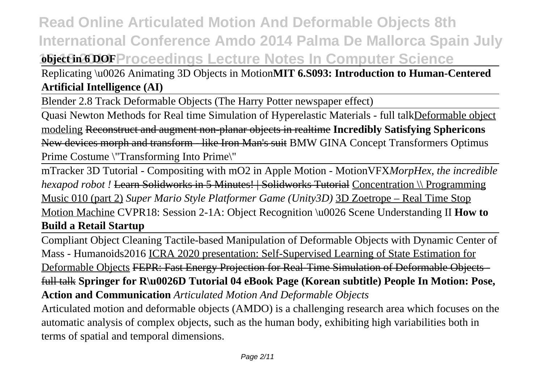### **Read Online Articulated Motion And Deformable Objects 8th International Conference Amdo 2014 Palma De Mallorca Spain July 16 18 2016 Proceedings Lecture Notes In Computer Science**

Replicating \u0026 Animating 3D Objects in Motion**MIT 6.S093: Introduction to Human-Centered Artificial Intelligence (AI)**

Blender 2.8 Track Deformable Objects (The Harry Potter newspaper effect)

Quasi Newton Methods for Real time Simulation of Hyperelastic Materials - full talkDeformable object modeling Reconstruct and augment non-planar objects in realtime **Incredibly Satisfying Sphericons** New devices morph and transform - like Iron Man's suit BMW GINA Concept Transformers Optimus Prime Costume \"Transforming Into Prime\"

mTracker 3D Tutorial - Compositing with mO2 in Apple Motion - MotionVFX*MorpHex, the incredible hexapod robot !* Learn Solidworks in 5 Minutes! | Solidworks Tutorial Concentration \\ Programming Music 010 (part 2) *Super Mario Style Platformer Game (Unity3D)* 3D Zoetrope – Real Time Stop Motion Machine CVPR18: Session 2-1A: Object Recognition \u0026 Scene Understanding II **How to Build a Retail Startup**

Compliant Object Cleaning Tactile-based Manipulation of Deformable Objects with Dynamic Center of Mass - Humanoids2016 ICRA 2020 presentation: Self-Supervised Learning of State Estimation for Deformable Objects FEPR: Fast Energy Projection for Real-Time Simulation of Deformable Objects full talk **Springer for R\u0026D Tutorial 04 eBook Page (Korean subtitle) People In Motion: Pose, Action and Communication** *Articulated Motion And Deformable Objects*

Articulated motion and deformable objects (AMDO) is a challenging research area which focuses on the automatic analysis of complex objects, such as the human body, exhibiting high variabilities both in terms of spatial and temporal dimensions.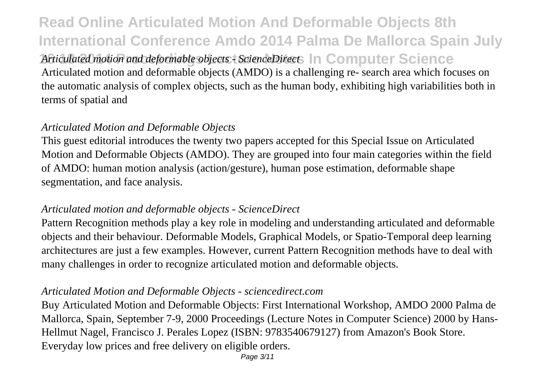**Read Online Articulated Motion And Deformable Objects 8th International Conference Amdo 2014 Palma De Mallorca Spain July 16 18 2014 Proceedings Lecture Notes In Computer Science** *Articulated motion and deformable objects - ScienceDirect* Articulated motion and deformable objects (AMDO) is a challenging re- search area which focuses on the automatic analysis of complex objects, such as the human body, exhibiting high variabilities both in terms of spatial and

#### *Articulated Motion and Deformable Objects*

This guest editorial introduces the twenty two papers accepted for this Special Issue on Articulated Motion and Deformable Objects (AMDO). They are grouped into four main categories within the field of AMDO: human motion analysis (action/gesture), human pose estimation, deformable shape segmentation, and face analysis.

#### *Articulated motion and deformable objects - ScienceDirect*

Pattern Recognition methods play a key role in modeling and understanding articulated and deformable objects and their behaviour. Deformable Models, Graphical Models, or Spatio-Temporal deep learning architectures are just a few examples. However, current Pattern Recognition methods have to deal with many challenges in order to recognize articulated motion and deformable objects.

#### *Articulated Motion and Deformable Objects - sciencedirect.com*

Buy Articulated Motion and Deformable Objects: First International Workshop, AMDO 2000 Palma de Mallorca, Spain, September 7-9, 2000 Proceedings (Lecture Notes in Computer Science) 2000 by Hans-Hellmut Nagel, Francisco J. Perales Lopez (ISBN: 9783540679127) from Amazon's Book Store. Everyday low prices and free delivery on eligible orders.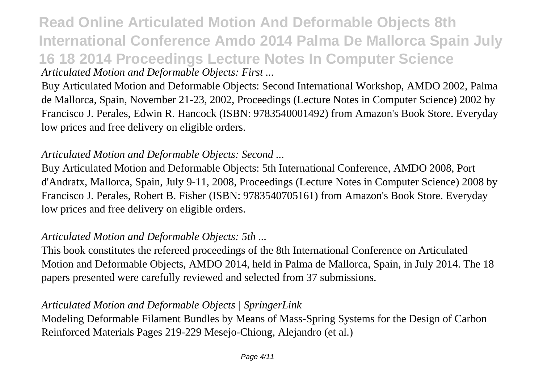**Read Online Articulated Motion And Deformable Objects 8th International Conference Amdo 2014 Palma De Mallorca Spain July 16 18 2014 Proceedings Lecture Notes In Computer Science** *Articulated Motion and Deformable Objects: First ...*

Buy Articulated Motion and Deformable Objects: Second International Workshop, AMDO 2002, Palma de Mallorca, Spain, November 21-23, 2002, Proceedings (Lecture Notes in Computer Science) 2002 by Francisco J. Perales, Edwin R. Hancock (ISBN: 9783540001492) from Amazon's Book Store. Everyday low prices and free delivery on eligible orders.

#### *Articulated Motion and Deformable Objects: Second ...*

Buy Articulated Motion and Deformable Objects: 5th International Conference, AMDO 2008, Port d'Andratx, Mallorca, Spain, July 9-11, 2008, Proceedings (Lecture Notes in Computer Science) 2008 by Francisco J. Perales, Robert B. Fisher (ISBN: 9783540705161) from Amazon's Book Store. Everyday low prices and free delivery on eligible orders.

#### *Articulated Motion and Deformable Objects: 5th ...*

This book constitutes the refereed proceedings of the 8th International Conference on Articulated Motion and Deformable Objects, AMDO 2014, held in Palma de Mallorca, Spain, in July 2014. The 18 papers presented were carefully reviewed and selected from 37 submissions.

#### *Articulated Motion and Deformable Objects | SpringerLink*

Modeling Deformable Filament Bundles by Means of Mass-Spring Systems for the Design of Carbon Reinforced Materials Pages 219-229 Mesejo-Chiong, Alejandro (et al.)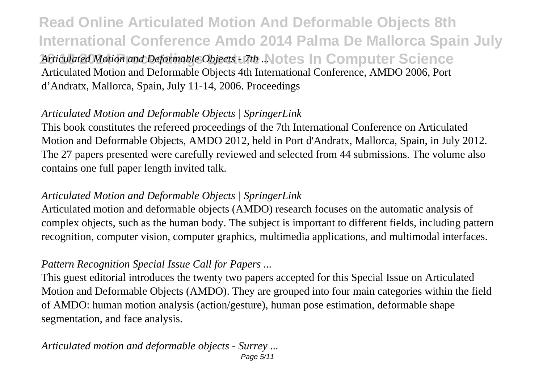**Read Online Articulated Motion And Deformable Objects 8th International Conference Amdo 2014 Palma De Mallorca Spain July 16 18 2014 Proceedings Lecture Notes In Computer Science** *Articulated Motion and Deformable Objects - 7th ...* Articulated Motion and Deformable Objects 4th International Conference, AMDO 2006, Port d'Andratx, Mallorca, Spain, July 11-14, 2006. Proceedings

### *Articulated Motion and Deformable Objects | SpringerLink*

This book constitutes the refereed proceedings of the 7th International Conference on Articulated Motion and Deformable Objects, AMDO 2012, held in Port d'Andratx, Mallorca, Spain, in July 2012. The 27 papers presented were carefully reviewed and selected from 44 submissions. The volume also contains one full paper length invited talk.

#### *Articulated Motion and Deformable Objects | SpringerLink*

Articulated motion and deformable objects (AMDO) research focuses on the automatic analysis of complex objects, such as the human body. The subject is important to different fields, including pattern recognition, computer vision, computer graphics, multimedia applications, and multimodal interfaces.

#### *Pattern Recognition Special Issue Call for Papers ...*

This guest editorial introduces the twenty two papers accepted for this Special Issue on Articulated Motion and Deformable Objects (AMDO). They are grouped into four main categories within the field of AMDO: human motion analysis (action/gesture), human pose estimation, deformable shape segmentation, and face analysis.

#### *Articulated motion and deformable objects - Surrey ...* Page 5/11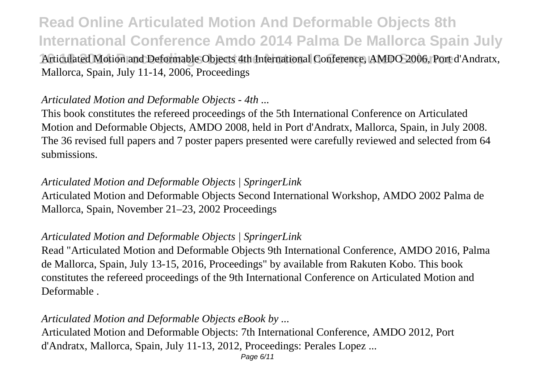**16 18 2014 Proceedings Lecture Notes In Computer Science** Articulated Motion and Deformable Objects 4th International Conference, AMDO 2006, Port d'Andratx, Mallorca, Spain, July 11-14, 2006, Proceedings

#### *Articulated Motion and Deformable Objects - 4th ...*

This book constitutes the refereed proceedings of the 5th International Conference on Articulated Motion and Deformable Objects, AMDO 2008, held in Port d'Andratx, Mallorca, Spain, in July 2008. The 36 revised full papers and 7 poster papers presented were carefully reviewed and selected from 64 submissions.

#### *Articulated Motion and Deformable Objects | SpringerLink*

Articulated Motion and Deformable Objects Second International Workshop, AMDO 2002 Palma de Mallorca, Spain, November 21–23, 2002 Proceedings

#### *Articulated Motion and Deformable Objects | SpringerLink*

Read "Articulated Motion and Deformable Objects 9th International Conference, AMDO 2016, Palma de Mallorca, Spain, July 13-15, 2016, Proceedings" by available from Rakuten Kobo. This book constitutes the refereed proceedings of the 9th International Conference on Articulated Motion and Deformable .

#### *Articulated Motion and Deformable Objects eBook by ...*

Articulated Motion and Deformable Objects: 7th International Conference, AMDO 2012, Port d'Andratx, Mallorca, Spain, July 11-13, 2012, Proceedings: Perales Lopez ...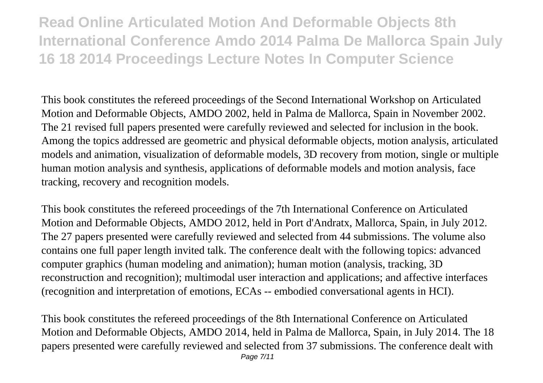**Read Online Articulated Motion And Deformable Objects 8th International Conference Amdo 2014 Palma De Mallorca Spain July 16 18 2014 Proceedings Lecture Notes In Computer Science**

This book constitutes the refereed proceedings of the Second International Workshop on Articulated Motion and Deformable Objects, AMDO 2002, held in Palma de Mallorca, Spain in November 2002. The 21 revised full papers presented were carefully reviewed and selected for inclusion in the book. Among the topics addressed are geometric and physical deformable objects, motion analysis, articulated models and animation, visualization of deformable models, 3D recovery from motion, single or multiple human motion analysis and synthesis, applications of deformable models and motion analysis, face tracking, recovery and recognition models.

This book constitutes the refereed proceedings of the 7th International Conference on Articulated Motion and Deformable Objects, AMDO 2012, held in Port d'Andratx, Mallorca, Spain, in July 2012. The 27 papers presented were carefully reviewed and selected from 44 submissions. The volume also contains one full paper length invited talk. The conference dealt with the following topics: advanced computer graphics (human modeling and animation); human motion (analysis, tracking, 3D reconstruction and recognition); multimodal user interaction and applications; and affective interfaces (recognition and interpretation of emotions, ECAs -- embodied conversational agents in HCI).

This book constitutes the refereed proceedings of the 8th International Conference on Articulated Motion and Deformable Objects, AMDO 2014, held in Palma de Mallorca, Spain, in July 2014. The 18 papers presented were carefully reviewed and selected from 37 submissions. The conference dealt with Page 7/11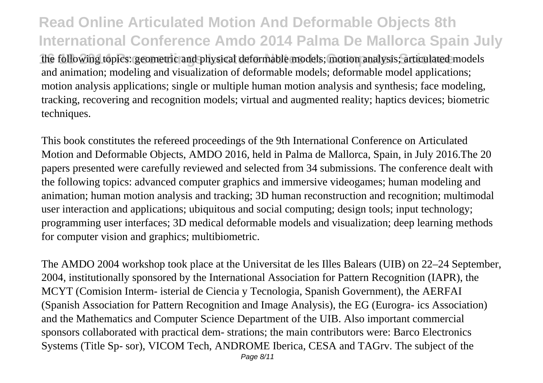the following topics: geometric and physical deformable models; motion analysis; articulated models and animation; modeling and visualization of deformable models; deformable model applications; motion analysis applications; single or multiple human motion analysis and synthesis; face modeling, tracking, recovering and recognition models; virtual and augmented reality; haptics devices; biometric techniques.

This book constitutes the refereed proceedings of the 9th International Conference on Articulated Motion and Deformable Objects, AMDO 2016, held in Palma de Mallorca, Spain, in July 2016.The 20 papers presented were carefully reviewed and selected from 34 submissions. The conference dealt with the following topics: advanced computer graphics and immersive videogames; human modeling and animation; human motion analysis and tracking; 3D human reconstruction and recognition; multimodal user interaction and applications; ubiquitous and social computing; design tools; input technology; programming user interfaces; 3D medical deformable models and visualization; deep learning methods for computer vision and graphics; multibiometric.

The AMDO 2004 workshop took place at the Universitat de les Illes Balears (UIB) on 22–24 September, 2004, institutionally sponsored by the International Association for Pattern Recognition (IAPR), the MCYT (Comision Interm- isterial de Ciencia y Tecnologia, Spanish Government), the AERFAI (Spanish Association for Pattern Recognition and Image Analysis), the EG (Eurogra- ics Association) and the Mathematics and Computer Science Department of the UIB. Also important commercial sponsors collaborated with practical dem- strations; the main contributors were: Barco Electronics Systems (Title Sp- sor), VICOM Tech, ANDROME Iberica, CESA and TAGrv. The subject of the Page 8/11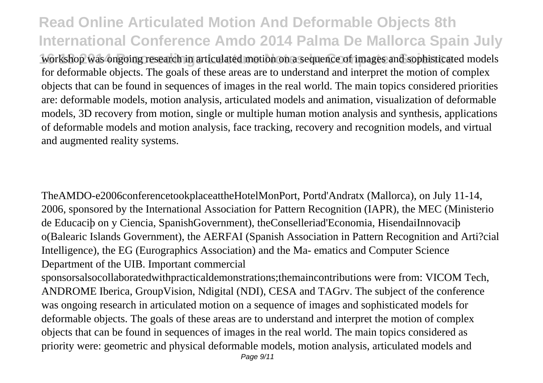workshop was ongoing research in articulated motion on a sequence of images and sophisticated models for deformable objects. The goals of these areas are to understand and interpret the motion of complex objects that can be found in sequences of images in the real world. The main topics considered priorities are: deformable models, motion analysis, articulated models and animation, visualization of deformable models, 3D recovery from motion, single or multiple human motion analysis and synthesis, applications of deformable models and motion analysis, face tracking, recovery and recognition models, and virtual and augmented reality systems.

TheAMDO-e2006conferencetookplaceattheHotelMonPort, Portd'Andratx (Mallorca), on July 11-14, 2006, sponsored by the International Association for Pattern Recognition (IAPR), the MEC (Ministerio de Educaciþ on y Ciencia, SpanishGovernment), theConselleriad'Economia, HisendaiInnovaciþ o(Balearic Islands Government), the AERFAI (Spanish Association in Pattern Recognition and Arti?cial Intelligence), the EG (Eurographics Association) and the Ma- ematics and Computer Science Department of the UIB. Important commercial

sponsorsalsocollaboratedwithpracticaldemonstrations;themaincontributions were from: VICOM Tech, ANDROME Iberica, GroupVision, Ndigital (NDI), CESA and TAGrv. The subject of the conference was ongoing research in articulated motion on a sequence of images and sophisticated models for deformable objects. The goals of these areas are to understand and interpret the motion of complex objects that can be found in sequences of images in the real world. The main topics considered as priority were: geometric and physical deformable models, motion analysis, articulated models and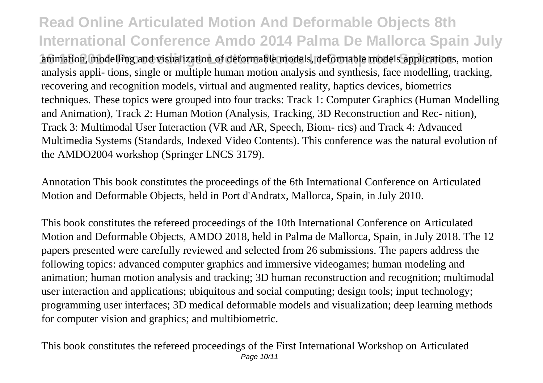animation, modelling and visualization of deformable models, deformable models applications, motion analysis appli- tions, single or multiple human motion analysis and synthesis, face modelling, tracking, recovering and recognition models, virtual and augmented reality, haptics devices, biometrics techniques. These topics were grouped into four tracks: Track 1: Computer Graphics (Human Modelling and Animation), Track 2: Human Motion (Analysis, Tracking, 3D Reconstruction and Rec- nition), Track 3: Multimodal User Interaction (VR and AR, Speech, Biom- rics) and Track 4: Advanced Multimedia Systems (Standards, Indexed Video Contents). This conference was the natural evolution of the AMDO2004 workshop (Springer LNCS 3179).

Annotation This book constitutes the proceedings of the 6th International Conference on Articulated Motion and Deformable Objects, held in Port d'Andratx, Mallorca, Spain, in July 2010.

This book constitutes the refereed proceedings of the 10th International Conference on Articulated Motion and Deformable Objects, AMDO 2018, held in Palma de Mallorca, Spain, in July 2018. The 12 papers presented were carefully reviewed and selected from 26 submissions. The papers address the following topics: advanced computer graphics and immersive videogames; human modeling and animation; human motion analysis and tracking; 3D human reconstruction and recognition; multimodal user interaction and applications; ubiquitous and social computing; design tools; input technology; programming user interfaces; 3D medical deformable models and visualization; deep learning methods for computer vision and graphics; and multibiometric.

This book constitutes the refereed proceedings of the First International Workshop on Articulated Page 10/11